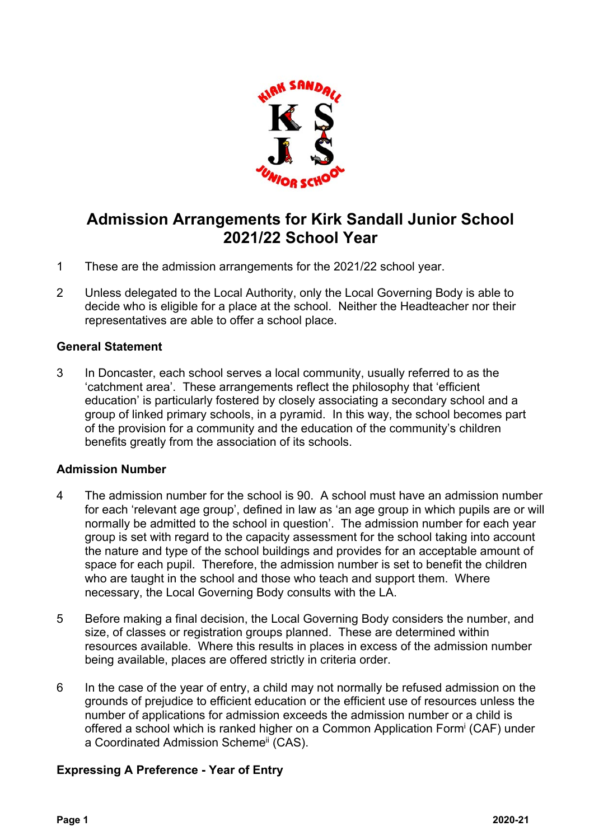

# **Admission Arrangements for Kirk Sandall Junior School 2021/22 School Year**

- 1 These are the admission arrangements for the 2021/22 school year.
- 2 Unless delegated to the Local Authority, only the Local Governing Body is able to decide who is eligible for a place at the school. Neither the Headteacher nor their representatives are able to offer a school place.

## **General Statement**

3 In Doncaster, each school serves a local community, usually referred to as the 'catchment area'. These arrangements reflect the philosophy that 'efficient education' is particularly fostered by closely associating a secondary school and a group of linked primary schools, in a pyramid. In this way, the school becomes part of the provision for a community and the education of the community's children benefits greatly from the association of its schools.

## **Admission Number**

- 4 The admission number for the school is 90. A school must have an admission number for each 'relevant age group', defined in law as 'an age group in which pupils are or will normally be admitted to the school in question'. The admission number for each year group is set with regard to the capacity assessment for the school taking into account the nature and type of the school buildings and provides for an acceptable amount of space for each pupil. Therefore, the admission number is set to benefit the children who are taught in the school and those who teach and support them. Where necessary, the Local Governing Body consults with the LA.
- 5 Before making a final decision, the Local Governing Body considers the number, and size, of classes or registration groups planned. These are determined within resources available. Where this results in places in excess of the admission number being available, places are offered strictly in criteria order.
- 6 In the case of the year of entry, a child may not normally be refused admission on the grounds of prejudice to efficient education or the efficient use of resources unless the number of applications for admission exceeds the admission number or a child is offered a school which is ranked higher on a Common Application Form<sup>i</sup> (CAF) under a Coordinated Admission Scheme<sup>ii</sup> (CAS).

## **Expressing A Preference - Year of Entry**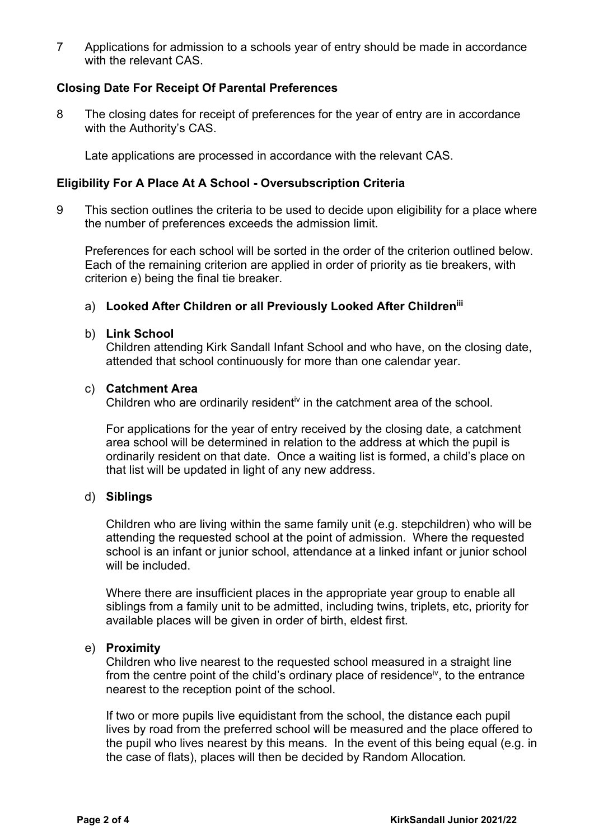7 Applications for admission to a schools year of entry should be made in accordance with the relevant CAS.

### **Closing Date For Receipt Of Parental Preferences**

8 The closing dates for receipt of preferences for the year of entry are in accordance with the Authority's CAS.

Late applications are processed in accordance with the relevant CAS.

## **Eligibility For A Place At A School - Oversubscription Criteria**

9 This section outlines the criteria to be used to decide upon eligibility for a place where the number of preferences exceeds the admission limit.

 Preferences for each school will be sorted in the order of the criterion outlined below. Each of the remaining criterion are applied in order of priority as tie breakers, with criterion e) being the final tie breaker.

# a) **Looked After Children or all Previously Looked After Childreniii**

#### b) **Link School**

Children attending Kirk Sandall Infant School and who have, on the closing date, attended that school continuously for more than one calendar year.

#### c) **Catchment Area**

Children who are ordinarily residenti<sup> $v$ </sup> in the catchment area of the school.

For applications for the year of entry received by the closing date, a catchment area school will be determined in relation to the address at which the pupil is ordinarily resident on that date. Once a waiting list is formed, a child's place on that list will be updated in light of any new address.

#### d) **Siblings**

 Children who are living within the same family unit (e.g. stepchildren) who will be attending the requested school at the point of admission. Where the requested school is an infant or junior school, attendance at a linked infant or junior school will be included.

 Where there are insufficient places in the appropriate year group to enable all siblings from a family unit to be admitted, including twins, triplets, etc, priority for available places will be given in order of birth, eldest first.

#### e) **Proximity**

 Children who live nearest to the requested school measured in a straight line from the centre point of the child's ordinary place of residence<sup>iv</sup>, to the entrance nearest to the reception point of the school.

 If two or more pupils live equidistant from the school, the distance each pupil lives by road from the preferred school will be measured and the place offered to the pupil who lives nearest by this means. In the event of this being equal (e.g. in the case of flats), places will then be decided by Random Allocation*.*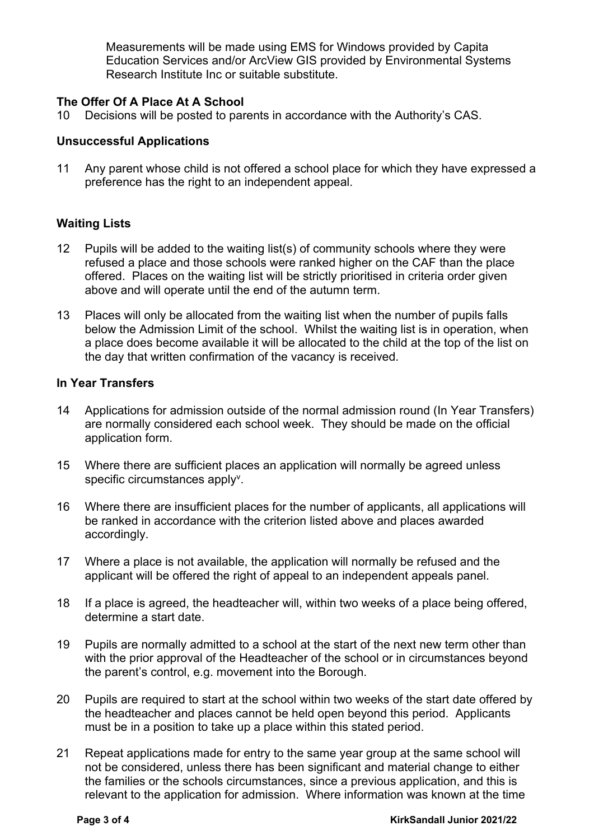Measurements will be made using EMS for Windows provided by Capita Education Services and/or ArcView GIS provided by Environmental Systems Research Institute Inc or suitable substitute.

## **The Offer Of A Place At A School**

10 Decisions will be posted to parents in accordance with the Authority's CAS.

#### **Unsuccessful Applications**

11 Any parent whose child is not offered a school place for which they have expressed a preference has the right to an independent appeal.

## **Waiting Lists**

- 12 Pupils will be added to the waiting list(s) of community schools where they were refused a place and those schools were ranked higher on the CAF than the place offered. Places on the waiting list will be strictly prioritised in criteria order given above and will operate until the end of the autumn term.
- 13 Places will only be allocated from the waiting list when the number of pupils falls below the Admission Limit of the school. Whilst the waiting list is in operation, when a place does become available it will be allocated to the child at the top of the list on the day that written confirmation of the vacancy is received.

#### **In Year Transfers**

- 14 Applications for admission outside of the normal admission round (In Year Transfers) are normally considered each school week. They should be made on the official application form.
- 15 Where there are sufficient places an application will normally be agreed unless specific circumstances apply<sup>v</sup>.
- 16 Where there are insufficient places for the number of applicants, all applications will be ranked in accordance with the criterion listed above and places awarded accordingly.
- 17 Where a place is not available, the application will normally be refused and the applicant will be offered the right of appeal to an independent appeals panel.
- 18 If a place is agreed, the headteacher will, within two weeks of a place being offered, determine a start date.
- 19 Pupils are normally admitted to a school at the start of the next new term other than with the prior approval of the Headteacher of the school or in circumstances beyond the parent's control, e.g. movement into the Borough.
- 20 Pupils are required to start at the school within two weeks of the start date offered by the headteacher and places cannot be held open beyond this period. Applicants must be in a position to take up a place within this stated period.
- 21 Repeat applications made for entry to the same year group at the same school will not be considered, unless there has been significant and material change to either the families or the schools circumstances, since a previous application, and this is relevant to the application for admission. Where information was known at the time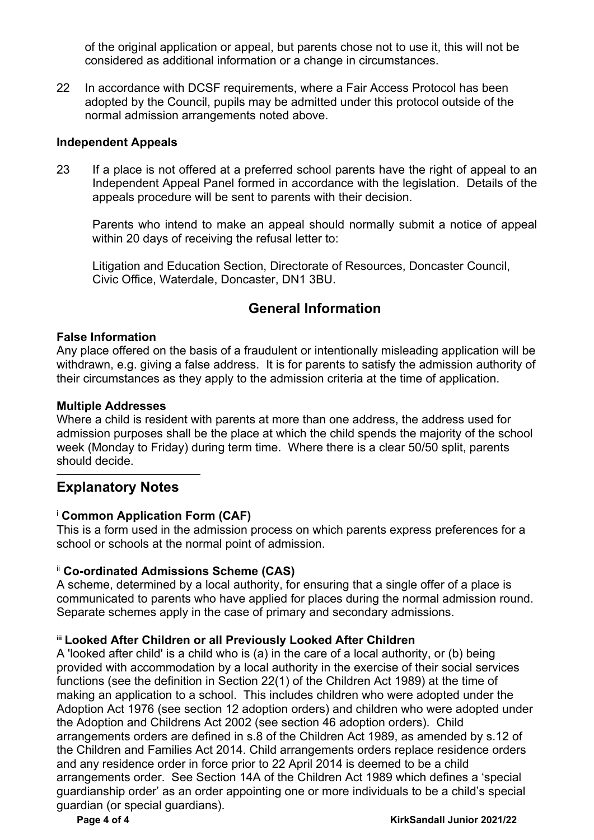of the original application or appeal, but parents chose not to use it, this will not be considered as additional information or a change in circumstances.

22 In accordance with DCSF requirements, where a Fair Access Protocol has been adopted by the Council, pupils may be admitted under this protocol outside of the normal admission arrangements noted above.

#### **Independent Appeals**

23 If a place is not offered at a preferred school parents have the right of appeal to an Independent Appeal Panel formed in accordance with the legislation. Details of the appeals procedure will be sent to parents with their decision.

Parents who intend to make an appeal should normally submit a notice of appeal within 20 days of receiving the refusal letter to:

Litigation and Education Section, Directorate of Resources, Doncaster Council, Civic Office, Waterdale, Doncaster, DN1 3BU.

# **General Information**

#### **False Information**

Any place offered on the basis of a fraudulent or intentionally misleading application will be withdrawn, e.g. giving a false address. It is for parents to satisfy the admission authority of their circumstances as they apply to the admission criteria at the time of application.

#### **Multiple Addresses**

Where a child is resident with parents at more than one address, the address used for admission purposes shall be the place at which the child spends the majority of the school week (Monday to Friday) during term time. Where there is a clear 50/50 split, parents should decide.

## **Explanatory Notes**

## <sup>i</sup> **Common Application Form (CAF)**

This is a form used in the admission process on which parents express preferences for a school or schools at the normal point of admission.

## ii **Co-ordinated Admissions Scheme (CAS)**

A scheme, determined by a local authority, for ensuring that a single offer of a place is communicated to parents who have applied for places during the normal admission round. Separate schemes apply in the case of primary and secondary admissions.

#### **iii Looked After Children or all Previously Looked After Children**

A 'looked after child' is a child who is (a) in the care of a local authority, or (b) being provided with accommodation by a local authority in the exercise of their social services functions (see the definition in Section 22(1) of the Children Act 1989) at the time of making an application to a school. This includes children who were adopted under the Adoption Act 1976 (see section 12 adoption orders) and children who were adopted under the Adoption and Childrens Act 2002 (see section 46 adoption orders). Child arrangements orders are defined in s.8 of the Children Act 1989, as amended by s.12 of the Children and Families Act 2014. Child arrangements orders replace residence orders and any residence order in force prior to 22 April 2014 is deemed to be a child arrangements order. See Section 14A of the Children Act 1989 which defines a 'special guardianship order' as an order appointing one or more individuals to be a child's special guardian (or special guardians).